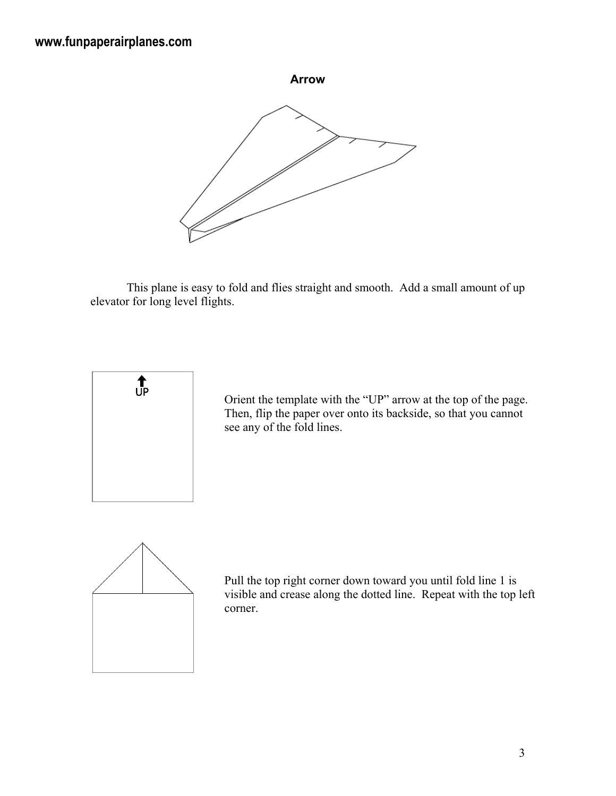

 This plane is easy to fold and flies straight and smooth. Add a small amount of up elevator for long level flights.



Orient the template with the "UP" arrow at the top of the page. Then, flip the paper over onto its backside, so that you cannot see any of the fold lines.



Pull the top right corner down toward you until fold line 1 is visible and crease along the dotted line. Repeat with the top left corner.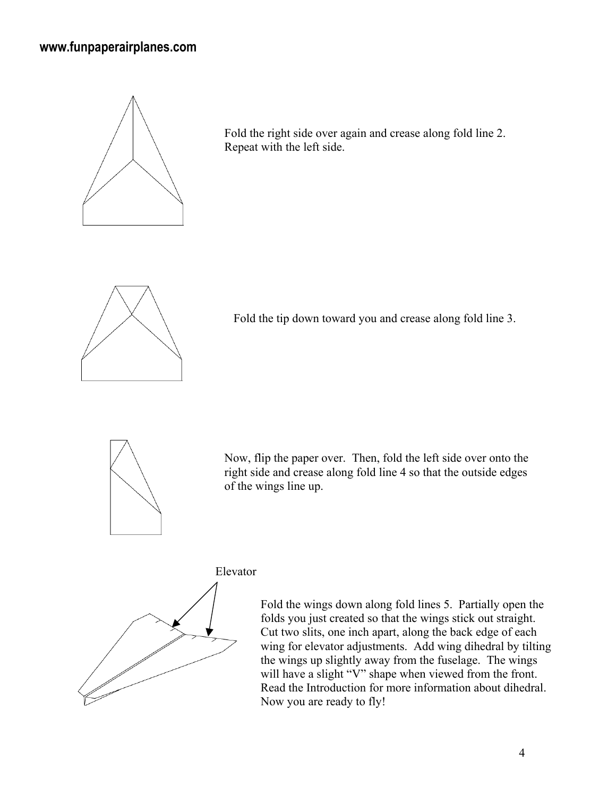## **www.funpaperairplanes.com**



Fold the right side over again and crease along fold line 2. Repeat with the left side.



Fold the tip down toward you and crease along fold line 3.



Now, flip the paper over. Then, fold the left side over onto the right side and crease along fold line 4 so that the outside edges of the wings line up.

Elevator



Fold the wings down along fold lines 5. Partially open the folds you just created so that the wings stick out straight. Cut two slits, one inch apart, along the back edge of each wing for elevator adjustments. Add wing dihedral by tilting the wings up slightly away from the fuselage. The wings will have a slight "V" shape when viewed from the front. Read the Introduction for more information about dihedral. Now you are ready to fly!